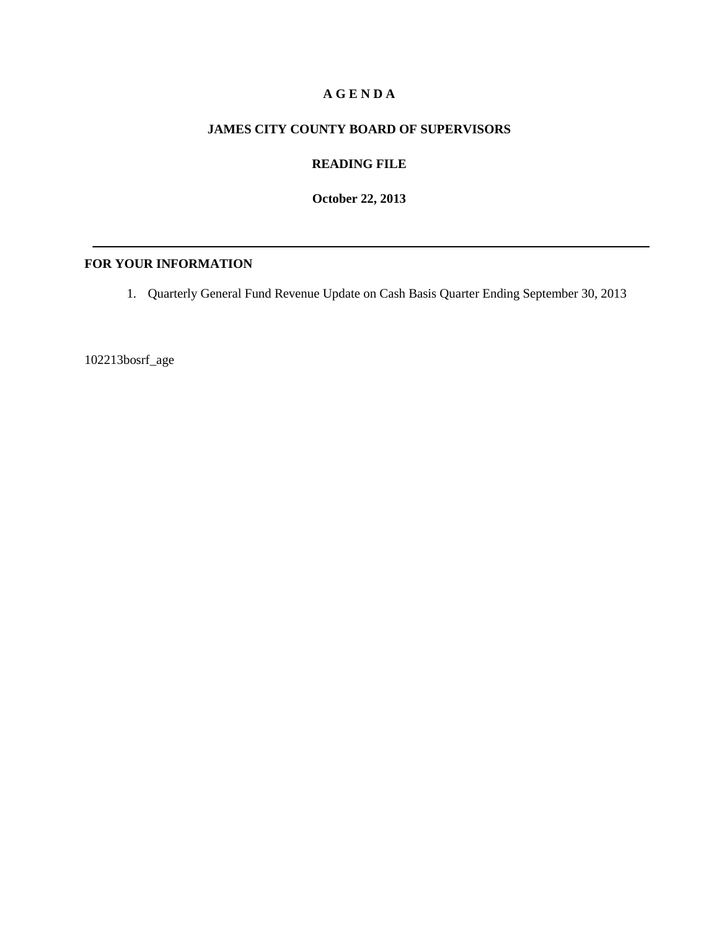#### **A G E N D A**

#### **JAMES CITY COUNTY BOARD OF SUPERVISORS**

## **READING FILE**

**October 22, 2013**

#### **FOR YOUR INFORMATION**

1. Quarterly General Fund Revenue Update on Cash Basis Quarter Ending September 30, 2013

102213bosrf\_age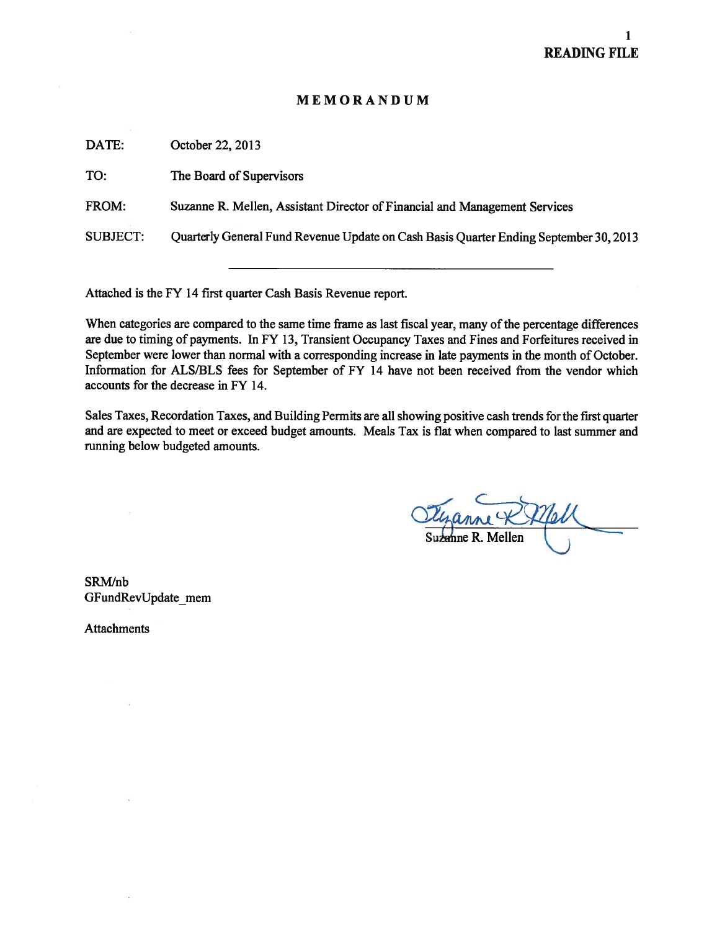### MEMORANDUM

| DATE:           | October 22, 2013                                                                      |
|-----------------|---------------------------------------------------------------------------------------|
| TO:             | The Board of Supervisors                                                              |
| FROM:           | Suzanne R. Mellen, Assistant Director of Financial and Management Services            |
| <b>SUBJECT:</b> | Quarterly General Fund Revenue Update on Cash Basis Quarter Ending September 30, 2013 |
|                 |                                                                                       |

Attached is the FY 14 first quarter Cash Basis Revenue report.

When categories are compared to the same time frame as last fiscal year, many of the percentage differences are due to timing of payments. In FY 13, Transient Occupancy Taxes and Fines and Forfeitures received in September were lower than normal with a corresponding increase in late payments in the month of October. Information for ALS/BLS fees for September of FY 14 have not been received from the vendor which accounts for the decrease in FY 14.

Sales Taxes, Recordation Taxes, and Building Permits are all showing positive cash trends for the first quarter and are expected to meet or exceed budget amounts. Meals Tax is flat when compared to last summer and running below budgeted amounts.

Suzanne R. Mellen

SRMJnb GFundRevUpdate\_mem

Attachments